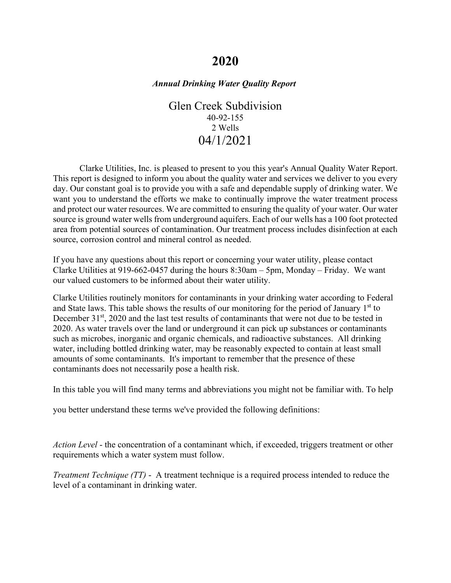# **2020**

## *Annual Drinking Water Quality Report*

Glen Creek Subdivision 40-92-155 2 Wells 04/1/2021

Clarke Utilities, Inc. is pleased to present to you this year's Annual Quality Water Report. This report is designed to inform you about the quality water and services we deliver to you every day. Our constant goal is to provide you with a safe and dependable supply of drinking water. We want you to understand the efforts we make to continually improve the water treatment process and protect our water resources. We are committed to ensuring the quality of your water. Our water source is ground water wells from underground aquifers. Each of our wells has a 100 foot protected area from potential sources of contamination. Our treatment process includes disinfection at each source, corrosion control and mineral control as needed.

If you have any questions about this report or concerning your water utility, please contact Clarke Utilities at 919-662-0457 during the hours 8:30am – 5pm, Monday – Friday. We want our valued customers to be informed about their water utility.

Clarke Utilities routinely monitors for contaminants in your drinking water according to Federal and State laws. This table shows the results of our monitoring for the period of January  $1<sup>st</sup>$  to December 31<sup>st</sup>, 2020 and the last test results of contaminants that were not due to be tested in 2020. As water travels over the land or underground it can pick up substances or contaminants such as microbes, inorganic and organic chemicals, and radioactive substances. All drinking water, including bottled drinking water, may be reasonably expected to contain at least small amounts of some contaminants. It's important to remember that the presence of these contaminants does not necessarily pose a health risk.

In this table you will find many terms and abbreviations you might not be familiar with. To help

you better understand these terms we've provided the following definitions:

*Action Level* - the concentration of a contaminant which, if exceeded, triggers treatment or other requirements which a water system must follow.

*Treatment Technique (TT)* - A treatment technique is a required process intended to reduce the level of a contaminant in drinking water.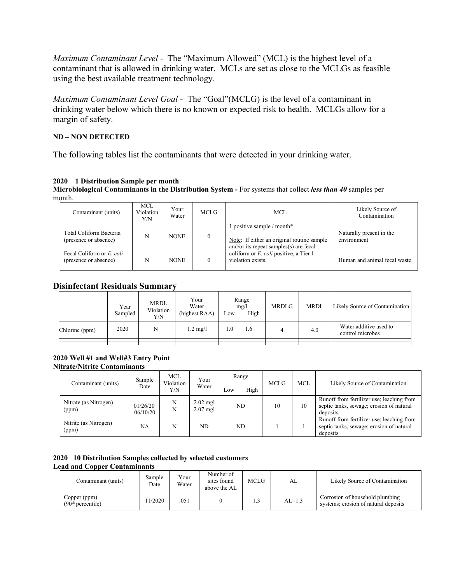*Maximum Contaminant Level* - The "Maximum Allowed" (MCL) is the highest level of a contaminant that is allowed in drinking water. MCLs are set as close to the MCLGs as feasible using the best available treatment technology.

*Maximum Contaminant Level Goal* - The "Goal"(MCLG) is the level of a contaminant in drinking water below which there is no known or expected risk to health. MCLGs allow for a margin of safety.

## **ND – NON DETECTED**

The following tables list the contaminants that were detected in your drinking water.

## **2020 1 Distribution Sample per month**

**Microbiological Contaminants in the Distribution System -** For systems that collect *less than 40* samples per month.

| Contaminant (units)                                | MCL<br>Violation<br>Y/N | Your<br>Water | MCLG | MCL.                                                                                                                  | Likely Source of<br>Contamination       |
|----------------------------------------------------|-------------------------|---------------|------|-----------------------------------------------------------------------------------------------------------------------|-----------------------------------------|
| Total Coliform Bacteria<br>(presence or absence)   | N                       | <b>NONE</b>   |      | 1 positive sample / month*<br>Note: If either an original routine sample<br>and/or its repeat samples $(s)$ are fecal | Naturally present in the<br>environment |
| Fecal Coliform or E. coli<br>(presence or absence) | N                       | <b>NONE</b>   |      | coliform or <i>E. coli</i> positive, a Tier 1<br>violation exists.                                                    | Human and animal fecal waste            |

# **Disinfectant Residuals Summary**

|                | Year<br>Sampled | <b>MRDL</b><br>Violation<br>Y/N | Your<br>Water<br>(highest RAA) | Low | Range<br>mg/l<br>High | <b>MRDLG</b> | <b>MRDL</b> | Likely Source of Contamination             |
|----------------|-----------------|---------------------------------|--------------------------------|-----|-----------------------|--------------|-------------|--------------------------------------------|
| Chlorine (ppm) | 2020            | N                               | $1.2 \text{ mg/l}$             | 1.0 | 1.6                   |              | 4.0         | Water additive used to<br>control microbes |
|                |                 |                                 |                                |     |                       |              |             |                                            |

#### **2020 Well #1 and Well#3 Entry Point Nitrate/Nitrite Contaminants**

| Contaminant (units)            | Sample<br>Date       | <b>MCL</b><br>Violation<br>Y/N | Your<br>Water            | Range<br>High<br>LOW | <b>MCLG</b> | <b>MCL</b> | Likely Source of Contamination                                                                    |
|--------------------------------|----------------------|--------------------------------|--------------------------|----------------------|-------------|------------|---------------------------------------------------------------------------------------------------|
| Nitrate (as Nitrogen)<br>(ppm) | 01/26/20<br>06/10/20 | N<br>N                         | $2.02$ mgl<br>$2.07$ mgl | ND                   | 10          | 10         | Runoff from fertilizer use; leaching from<br>septic tanks, sewage; erosion of natural<br>deposits |
| Nitrite (as Nitrogen)<br>(ppm) | NA                   | N                              | ND                       | ND.                  |             |            | Runoff from fertilizer use; leaching from<br>septic tanks, sewage; erosion of natural<br>deposits |

|                                     |  |  | 2020 10 Distribution Samples collected by selected customers |  |
|-------------------------------------|--|--|--------------------------------------------------------------|--|
| <b>Lead and Copper Contaminants</b> |  |  |                                                              |  |

| Contaminant (units)                           | Number of<br>Your<br>Sample<br>sites found<br>Water<br>Date<br>above the AL |  |  | MCLG.    | AL                                                                      | Likely Source of Contamination |
|-----------------------------------------------|-----------------------------------------------------------------------------|--|--|----------|-------------------------------------------------------------------------|--------------------------------|
| Copper (ppm)<br>(90 <sup>th</sup> percentile) | 1/2020<br>051                                                               |  |  | $AL=1.3$ | Corrosion of household plumbing<br>systems; erosion of natural deposits |                                |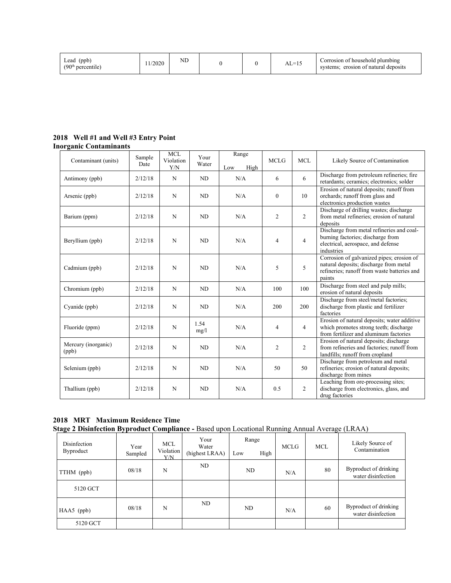| Lead<br>(ppb)<br>(90 <sup>th</sup><br>percentile | 1/2020 | $_{\rm ND}$ |  |  | $\sim$<br>$\overline{\phantom{a}}$<br>–<br>- שב | Corrosion of household plumbing<br>l deposits<br>erosion of natural<br>stems |
|--------------------------------------------------|--------|-------------|--|--|-------------------------------------------------|------------------------------------------------------------------------------|
|--------------------------------------------------|--------|-------------|--|--|-------------------------------------------------|------------------------------------------------------------------------------|

#### **2018 Well #1 and Well #3 Entry Point Inorganic Contaminants**

| Contaminant (units)          | Sample  | <b>MCL</b><br>Violation | Your         | Range       | <b>MCLG</b>    | <b>MCL</b>     | Likely Source of Contamination                                                                                                               |
|------------------------------|---------|-------------------------|--------------|-------------|----------------|----------------|----------------------------------------------------------------------------------------------------------------------------------------------|
|                              | Date    | Y/N                     | Water        | High<br>Low |                |                |                                                                                                                                              |
| Antimony (ppb)               | 2/12/18 | N                       | ND           | N/A         | 6              | 6              | Discharge from petroleum refineries; fire<br>retardants; ceramics; electronics; solder                                                       |
| Arsenic (ppb)                | 2/12/18 | N                       | ND           | N/A         | $\mathbf{0}$   | 10             | Erosion of natural deposits; runoff from<br>orchards; runoff from glass and<br>electronics production wastes                                 |
| Barium (ppm)                 | 2/12/18 | N                       | ND           | N/A         | 2              | $\overline{2}$ | Discharge of drilling wastes; discharge<br>from metal refineries; erosion of natural<br>deposits                                             |
| Beryllium (ppb)              | 2/12/18 | N                       | ND           | N/A         | $\overline{4}$ | $\overline{4}$ | Discharge from metal refineries and coal-<br>burning factories; discharge from<br>electrical, aerospace, and defense<br>industries           |
| Cadmium (ppb)                | 2/12/18 | N                       | ND           | N/A         | 5              | 5              | Corrosion of galvanized pipes; erosion of<br>natural deposits; discharge from metal<br>refineries; runoff from waste batteries and<br>paints |
| Chromium (ppb)               | 2/12/18 | N                       | ND           | N/A         | 100            | 100            | Discharge from steel and pulp mills;<br>erosion of natural deposits                                                                          |
| Cyanide (ppb)                | 2/12/18 | N                       | ND           | N/A         | 200            | 200            | Discharge from steel/metal factories;<br>discharge from plastic and fertilizer<br>factories                                                  |
| Fluoride (ppm)               | 2/12/18 | $\mathbf N$             | 1.54<br>mg/l | N/A         | 4              | $\overline{4}$ | Erosion of natural deposits; water additive<br>which promotes strong teeth; discharge<br>from fertilizer and aluminum factories              |
| Mercury (inorganic)<br>(ppb) | 2/12/18 | $\mathbf N$             | ND           | N/A         | 2              | $\overline{2}$ | Erosion of natural deposits; discharge<br>from refineries and factories; runoff from<br>landfills; runoff from cropland                      |
| Selenium (ppb)               | 2/12/18 | N                       | ND           | N/A         | 50             | 50             | Discharge from petroleum and metal<br>refineries; erosion of natural deposits;<br>discharge from mines                                       |
| Thallium (ppb)               | 2/12/18 | N                       | ND           | N/A         | 0.5            | $\overline{2}$ | Leaching from ore-processing sites;<br>discharge from electronics, glass, and<br>drug factories                                              |

**2018 MRT Maximum Residence Time Stage 2 Disinfection Byproduct Compliance -** Based upon Locational Running Annual Average (LRAA)

| - -<br>Disinfection<br><b>Byproduct</b> | Year<br>Sampled | <b>MCL</b><br>Violation<br>Y/N | Your<br>Water<br>(highest LRAA) | Range<br>High<br>Low | ັ<br><b>MCLG</b> | <b>MCL</b> | $\cdots$<br>Likely Source of<br>Contamination |
|-----------------------------------------|-----------------|--------------------------------|---------------------------------|----------------------|------------------|------------|-----------------------------------------------|
| TTHM (ppb)                              | 08/18           | N                              | ND                              | ND                   | N/A              | 80         | Byproduct of drinking<br>water disinfection   |
| 5120 GCT                                |                 |                                |                                 |                      |                  |            |                                               |
| HAA5 (ppb)                              | 08/18           | N                              | ND                              | ND                   | N/A              | 60         | Byproduct of drinking<br>water disinfection   |
| 5120 GCT                                |                 |                                |                                 |                      |                  |            |                                               |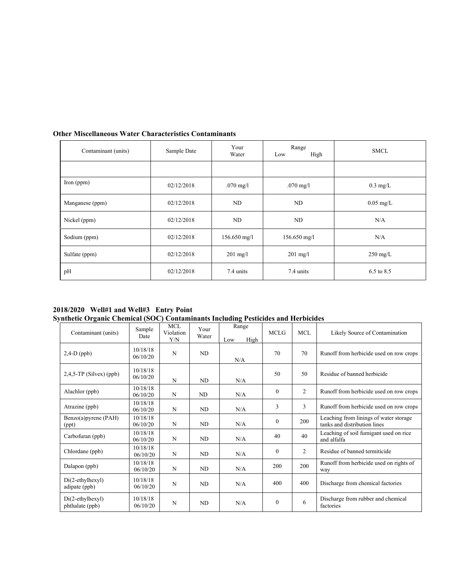| Contaminant (units) | Sample Date | Your<br>Water                         | Range<br>High<br>Low | <b>SMCL</b>           |
|---------------------|-------------|---------------------------------------|----------------------|-----------------------|
|                     |             |                                       |                      |                       |
| Iron $(ppm)$        | 02/12/2018  | $.070$ mg/l<br>$.070 \,\mathrm{mg}/l$ |                      | $0.3 \text{ mg/L}$    |
| Manganese (ppm)     | 02/12/2018  | ND                                    | ND                   | $0.05$ mg/L           |
| Nickel (ppm)        | 02/12/2018  | ND                                    | ND                   | N/A                   |
| Sodium (ppm)        | 02/12/2018  | $156.650$ mg/l                        | $156.650$ mg/l       | N/A                   |
| Sulfate (ppm)       | 02/12/2018  | $201$ mg/l                            | $201$ mg/l           | $250 \text{ mg/L}$    |
| pH                  | 02/12/2018  | 7.4 units                             | 7.4 units            | $6.5 \text{ to } 8.5$ |

# **Other Miscellaneous Water Characteristics Contaminants**

**2018/2020 Well#1 and Well#3 Entry Point Synthetic Organic Chemical (SOC) Contaminants Including Pesticides and Herbicides** 

| Contaminant (units)                   | Sample<br>Date       | MCL<br>Violation<br>Y/N | Your<br>Water  | Range<br>High<br>Low | <b>MCLG</b>      | <b>MCL</b>     | Likely Source of Contamination                                         |
|---------------------------------------|----------------------|-------------------------|----------------|----------------------|------------------|----------------|------------------------------------------------------------------------|
| $2,4-D$ (ppb)                         | 10/18/18<br>06/10/20 | N                       | ND             | N/A                  | 70               | 70             | Runoff from herbicide used on row crops                                |
| $2,4,5$ -TP (Silvex) (ppb)            | 10/18/18<br>06/10/20 | N                       | ND             | N/A                  | 50               | 50             | Residue of banned herbicide                                            |
| Alachlor (ppb)                        | 10/18/18<br>06/10/20 | N                       | ND             | N/A                  | $\boldsymbol{0}$ | $\mathfrak{2}$ | Runoff from herbicide used on row crops                                |
| Atrazine (ppb)                        | 10/18/18<br>06/10/20 | N                       | ND             | N/A                  | 3                | 3              | Runoff from herbicide used on row crops                                |
| Benzo(a)pyrene (PAH)<br>(ppt)         | 10/18/18<br>06/10/20 | N                       | ND             | N/A                  | $\overline{0}$   | 200            | Leaching from linings of water storage<br>tanks and distribution lines |
| Carbofuran (ppb)                      | 10/18/18<br>06/10/20 | N                       | ND             | N/A                  | 40               | 40             | Leaching of soil fumigant used on rice<br>and alfalfa                  |
| Chlordane (ppb)                       | 10/18/18<br>06/10/20 | N                       | ND             | N/A                  | $\boldsymbol{0}$ | $\overline{2}$ | Residue of banned termiticide                                          |
| Dalapon (ppb)                         | 10/18/18<br>06/10/20 | N                       | ND             | N/A                  | 200              | 200            | Runoff from herbicide used on rights of<br>way                         |
| $Di(2-ethylhexyl)$<br>adipate (ppb)   | 10/18/18<br>06/10/20 | N                       | ND             | N/A                  | 400              | 400            | Discharge from chemical factories                                      |
| $Di(2-ethylhexyl)$<br>phthalate (ppb) | 10/18/18<br>06/10/20 | N                       | N <sub>D</sub> | N/A                  | $\mathbf{0}$     | 6              | Discharge from rubber and chemical<br>factories                        |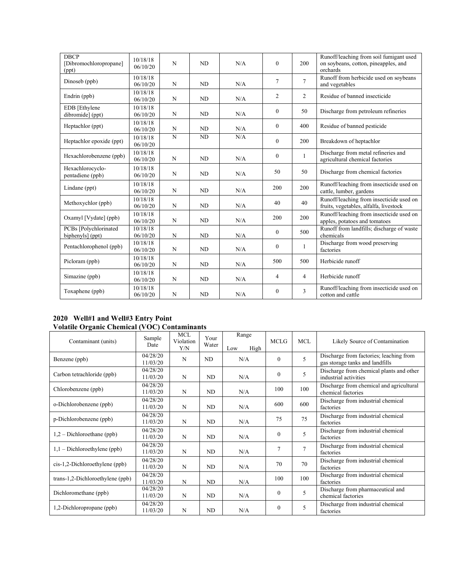| <b>DBCP</b><br>[Dibromochloropropane]<br>(ppt) | 10/18/18<br>06/10/20 | N           | <b>ND</b> | N/A | $\mathbf{0}$   | 200            | Runoff/leaching from soil fumigant used<br>on soybeans, cotton, pineapples, and<br>orchards |
|------------------------------------------------|----------------------|-------------|-----------|-----|----------------|----------------|---------------------------------------------------------------------------------------------|
| Dinoseb (ppb)                                  | 10/18/18<br>06/10/20 | N           | <b>ND</b> | N/A | $\overline{7}$ | $\overline{7}$ | Runoff from herbicide used on soybeans<br>and vegetables                                    |
| Endrin (ppb)                                   | 10/18/18<br>06/10/20 | N           | <b>ND</b> | N/A | $\overline{c}$ | 2              | Residue of banned insecticide                                                               |
| EDB [Ethylene<br>dibromide] (ppt)              | 10/18/18<br>06/10/20 | N           | <b>ND</b> | N/A | $\mathbf{0}$   | 50             | Discharge from petroleum refineries                                                         |
| Heptachlor (ppt)                               | 10/18/18<br>06/10/20 | N           | <b>ND</b> | N/A | $\mathbf{0}$   | 400            | Residue of banned pesticide                                                                 |
| Heptachlor epoxide (ppt)                       | 10/18/18<br>06/10/20 | $\mathbf N$ | ND        | N/A | $\mathbf{0}$   | 200            | Breakdown of heptachlor                                                                     |
| Hexachlorobenzene (ppb)                        | 10/18/18<br>06/10/20 | N           | <b>ND</b> | N/A | $\mathbf{0}$   | 1              | Discharge from metal refineries and<br>agricultural chemical factories                      |
| Hexachlorocyclo-<br>pentadiene (ppb)           | 10/18/18<br>06/10/20 | N           | <b>ND</b> | N/A | 50             | 50             | Discharge from chemical factories                                                           |
| Lindane (ppt)                                  | 10/18/18<br>06/10/20 | N           | <b>ND</b> | N/A | 200            | 200            | Runoff/leaching from insecticide used on<br>cattle, lumber, gardens                         |
| Methoxychlor (ppb)                             | 10/18/18<br>06/10/20 | N           | <b>ND</b> | N/A | 40             | 40             | Runoff/leaching from insecticide used on<br>fruits, vegetables, alfalfa, livestock          |
| Oxamyl [Vydate] (ppb)                          | 10/18/18<br>06/10/20 | N           | <b>ND</b> | N/A | 200            | 200            | Runoff/leaching from insecticide used on<br>apples, potatoes and tomatoes                   |
| PCBs [Polychlorinated<br>biphenyls] (ppt)      | 10/18/18<br>06/10/20 | ${\bf N}$   | <b>ND</b> | N/A | $\mathbf{0}$   | 500            | Runoff from landfills; discharge of waste<br>chemicals                                      |
| Pentachlorophenol (ppb)                        | 10/18/18<br>06/10/20 | N           | <b>ND</b> | N/A | $\mathbf{0}$   | $\mathbf{1}$   | Discharge from wood preserving<br>factories                                                 |
| Picloram (ppb)                                 | 10/18/18<br>06/10/20 | N           | <b>ND</b> | N/A | 500            | 500            | Herbicide runoff                                                                            |
| Simazine (ppb)                                 | 10/18/18<br>06/10/20 | N           | ND        | N/A | $\overline{4}$ | $\overline{4}$ | Herbicide runoff                                                                            |
| Toxaphene (ppb)                                | 10/18/18<br>06/10/20 | N           | <b>ND</b> | N/A | $\mathbf{0}$   | 3              | Runoff/leaching from insecticide used on<br>cotton and cattle                               |

#### **2020 Well#1 and Well#3 Entry Point Volatile Organic Chemical (VOC) Contaminants**

| Contaminant (units)              | Sample<br>Date       | <b>MCL</b><br>Violation<br>Y/N | Your<br>Water | Range<br>High<br>Low | <b>MCLG</b>    | <b>MCL</b>     | Likely Source of Contamination                                             |
|----------------------------------|----------------------|--------------------------------|---------------|----------------------|----------------|----------------|----------------------------------------------------------------------------|
| Benzene (ppb)                    | 04/28/20<br>11/03/20 | N                              | ND            | N/A                  | $\theta$       | 5              | Discharge from factories; leaching from<br>gas storage tanks and landfills |
| Carbon tetrachloride (ppb)       | 04/28/20<br>11/03/20 | N                              | ND            | N/A                  | $\theta$       | 5              | Discharge from chemical plants and other<br>industrial activities          |
| Chlorobenzene (ppb)              | 04/28/20<br>11/03/20 | N                              | ND            | N/A                  | 100            | 100            | Discharge from chemical and agricultural<br>chemical factories             |
| o-Dichlorobenzene (ppb)          | 04/28/20<br>11/03/20 | N                              | ND            | N/A                  | 600            | 600            | Discharge from industrial chemical<br>factories                            |
| p-Dichlorobenzene (ppb)          | 04/28/20<br>11/03/20 | N                              | ND            | N/A                  | 75             | 75             | Discharge from industrial chemical<br>factories                            |
| $1,2$ – Dichloroethane (ppb)     | 04/28/20<br>11/03/20 | N                              | ND            | N/A                  | $\theta$       | 5              | Discharge from industrial chemical<br>factories                            |
| $1,1$ – Dichloroethylene (ppb)   | 04/28/20<br>11/03/20 | N                              | ND            | N/A                  | $\overline{7}$ | $\overline{7}$ | Discharge from industrial chemical<br>factories                            |
| $cis-1,2-Dichloroethylene (ppb)$ | 04/28/20<br>11/03/20 | N                              | ND            | N/A                  | 70             | 70             | Discharge from industrial chemical<br>factories                            |
| trans-1,2-Dichloroethylene (ppb) | 04/28/20<br>11/03/20 | N                              | ND            | N/A                  | 100            | 100            | Discharge from industrial chemical<br>factories                            |
| Dichloromethane (ppb)            | 04/28/20<br>11/03/20 | N                              | ND            | N/A                  | $\theta$       | 5              | Discharge from pharmaceutical and<br>chemical factories                    |
| 1,2-Dichloropropane (ppb)        | 04/28/20<br>11/03/20 | N                              | ND            | N/A                  | $\theta$       | 5              | Discharge from industrial chemical<br>factories                            |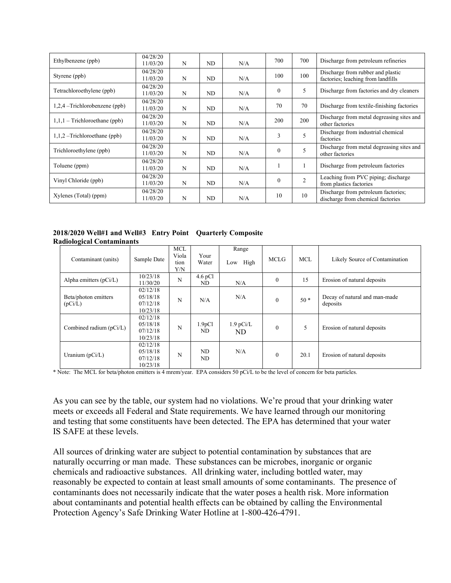| Ethylbenzene (ppb)              | 04/28/20<br>11/03/20 | N | ND | N/A | 700      | 700            | Discharge from petroleum refineries                                      |
|---------------------------------|----------------------|---|----|-----|----------|----------------|--------------------------------------------------------------------------|
| Styrene (ppb)                   | 04/28/20<br>11/03/20 | N | ND | N/A | 100      | 100            | Discharge from rubber and plastic<br>factories; leaching from landfills  |
| Tetrachloroethylene (ppb)       | 04/28/20<br>11/03/20 | N | ND | N/A | $\theta$ | 5              | Discharge from factories and dry cleaners                                |
| $1,2,4$ –Trichlorobenzene (ppb) | 04/28/20<br>11/03/20 | N | ND | N/A | 70       | 70             | Discharge from textile-finishing factories                               |
| $1,1,1$ – Trichloroethane (ppb) | 04/28/20<br>11/03/20 | N | ND | N/A | 200      | 200            | Discharge from metal degreasing sites and<br>other factories             |
| $1,1,2$ –Trichloroethane (ppb)  | 04/28/20<br>11/03/20 | N | ND | N/A | 3        | 5              | Discharge from industrial chemical<br>factories                          |
| Trichloroethylene (ppb)         | 04/28/20<br>11/03/20 | N | ND | N/A | $\theta$ | 5              | Discharge from metal degreasing sites and<br>other factories             |
| Toluene (ppm)                   | 04/28/20<br>11/03/20 | N | ND | N/A |          |                | Discharge from petroleum factories                                       |
| Vinyl Chloride (ppb)            | 04/28/20<br>11/03/20 | N | ND | N/A | $\theta$ | $\overline{2}$ | Leaching from PVC piping; discharge<br>from plastics factories           |
| Xylenes (Total) (ppm)           | 04/28/20<br>11/03/20 | N | ND | N/A | 10       | 10             | Discharge from petroleum factories;<br>discharge from chemical factories |

**2018/2020 Well#1 and Well#3 Entry Point Quarterly Composite Radiological Contaminants**

| -                               |                                               |                                    |                           |                      |              |            |                                           |
|---------------------------------|-----------------------------------------------|------------------------------------|---------------------------|----------------------|--------------|------------|-------------------------------------------|
| Contaminant (units)             | Sample Date                                   | <b>MCL</b><br>Viola<br>tion<br>Y/N | Your<br>Water             | Range<br>High<br>Low | <b>MCLG</b>  | <b>MCL</b> | Likely Source of Contamination            |
| Alpha emitters $(pCi/L)$        | 10/23/18<br>11/30/20                          | N                                  | $4.6$ pCl<br>ND           | N/A                  | $\mathbf{0}$ | 15         | Erosion of natural deposits               |
| Beta/photon emitters<br>(pCi/L) | 02/12/18<br>05/18/18<br>07/12/18<br>10/23/18  | N                                  | N/A                       | N/A                  | $\theta$     | $50*$      | Decay of natural and man-made<br>deposits |
| Combined radium (pCi/L)         | 02/12/18<br>05/18/18<br>07/12/18<br>10/23/18  | N                                  | 1.9 <sub>p</sub> Cl<br>ND | $1.9$ pCi/L<br>ND.   | $\mathbf{0}$ | 5          | Erosion of natural deposits               |
| Uranium $(pCi/L)$               | 02/12/18<br>0.5/18/18<br>07/12/18<br>10/23/18 | N                                  | ND<br>ND                  | N/A                  | $\mathbf{0}$ | 20.1       | Erosion of natural deposits               |

\* Note: The MCL for beta/photon emitters is 4 mrem/year. EPA considers 50 pCi/L to be the level of concern for beta particles.

As you can see by the table, our system had no violations. We're proud that your drinking water meets or exceeds all Federal and State requirements. We have learned through our monitoring and testing that some constituents have been detected. The EPA has determined that your water IS SAFE at these levels.

All sources of drinking water are subject to potential contamination by substances that are naturally occurring or man made. These substances can be microbes, inorganic or organic chemicals and radioactive substances. All drinking water, including bottled water, may reasonably be expected to contain at least small amounts of some contaminants. The presence of contaminants does not necessarily indicate that the water poses a health risk. More information about contaminants and potential health effects can be obtained by calling the Environmental Protection Agency's Safe Drinking Water Hotline at 1-800-426-4791.